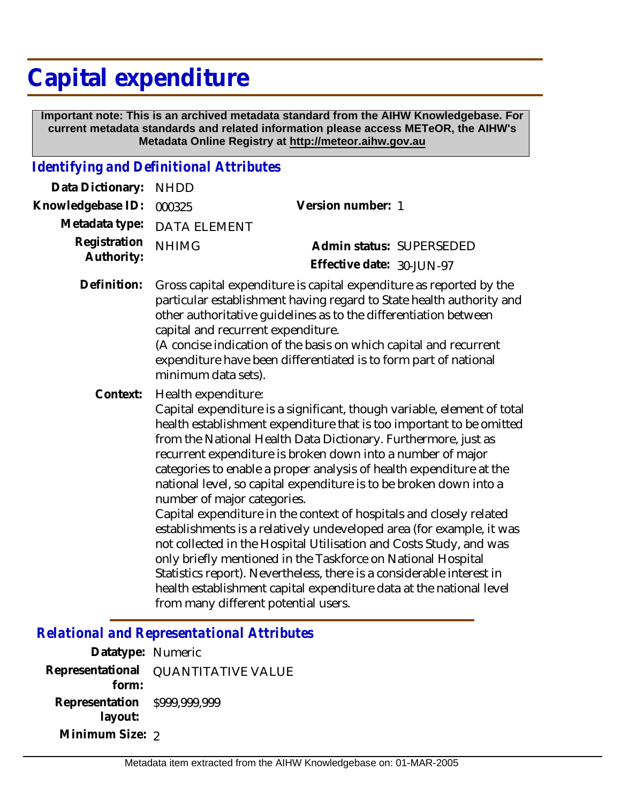## **Capital expenditure**

 **Important note: This is an archived metadata standard from the AIHW Knowledgebase. For current metadata standards and related information please access METeOR, the AIHW's Metadata Online Registry at http://meteor.aihw.gov.au**

## *Identifying and Definitional Attributes*

| Data Dictionary:           | <b>NHDD</b>                                                                                                                                                                                                                                                                                                                                                                                                           |                                                                                                                                                                                                                                                                                                                                                                                                                                                                                                                                                                                                                                                                                                                                                                                                                                                                    |
|----------------------------|-----------------------------------------------------------------------------------------------------------------------------------------------------------------------------------------------------------------------------------------------------------------------------------------------------------------------------------------------------------------------------------------------------------------------|--------------------------------------------------------------------------------------------------------------------------------------------------------------------------------------------------------------------------------------------------------------------------------------------------------------------------------------------------------------------------------------------------------------------------------------------------------------------------------------------------------------------------------------------------------------------------------------------------------------------------------------------------------------------------------------------------------------------------------------------------------------------------------------------------------------------------------------------------------------------|
| Knowledgebase ID:          | 000325                                                                                                                                                                                                                                                                                                                                                                                                                | Version number: 1                                                                                                                                                                                                                                                                                                                                                                                                                                                                                                                                                                                                                                                                                                                                                                                                                                                  |
| Metadata type:             | <b>DATA ELEMENT</b>                                                                                                                                                                                                                                                                                                                                                                                                   |                                                                                                                                                                                                                                                                                                                                                                                                                                                                                                                                                                                                                                                                                                                                                                                                                                                                    |
| Registration<br>Authority: | <b>NHIMG</b>                                                                                                                                                                                                                                                                                                                                                                                                          | Admin status: SUPERSEDED<br>Effective date: 30-JUN-97                                                                                                                                                                                                                                                                                                                                                                                                                                                                                                                                                                                                                                                                                                                                                                                                              |
| Definition:                | Gross capital expenditure is capital expenditure as reported by the<br>particular establishment having regard to State health authority and<br>other authoritative guidelines as to the differentiation between<br>capital and recurrent expenditure.<br>(A concise indication of the basis on which capital and recurrent<br>expenditure have been differentiated is to form part of national<br>minimum data sets). |                                                                                                                                                                                                                                                                                                                                                                                                                                                                                                                                                                                                                                                                                                                                                                                                                                                                    |
| Context:                   | Health expenditure:<br>number of major categories.<br>from many different potential users.                                                                                                                                                                                                                                                                                                                            | Capital expenditure is a significant, though variable, element of total<br>health establishment expenditure that is too important to be omitted<br>from the National Health Data Dictionary. Furthermore, just as<br>recurrent expenditure is broken down into a number of major<br>categories to enable a proper analysis of health expenditure at the<br>national level, so capital expenditure is to be broken down into a<br>Capital expenditure in the context of hospitals and closely related<br>establishments is a relatively undeveloped area (for example, it was<br>not collected in the Hospital Utilisation and Costs Study, and was<br>only briefly mentioned in the Taskforce on National Hospital<br>Statistics report). Nevertheless, there is a considerable interest in<br>health establishment capital expenditure data at the national level |

## *Relational and Representational Attributes*

| Datatype: Numeric            |                                     |
|------------------------------|-------------------------------------|
| form:                        | Representational QUANTITATIVE VALUE |
| Representation \$999,999,999 |                                     |
| layout:                      |                                     |
| Minimum Size: 2              |                                     |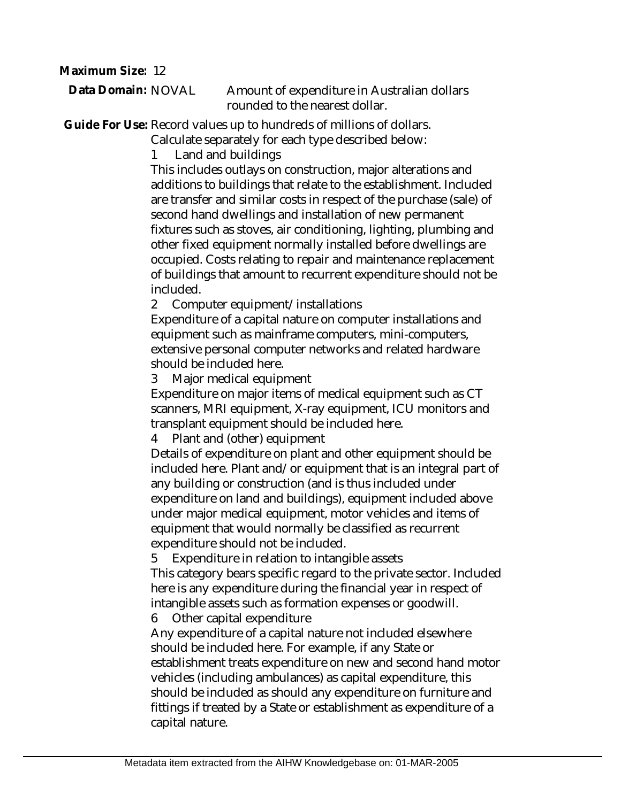**Maximum Size:** 12

Amount of expenditure in Australian dollars rounded to the nearest dollar. **Data Domain:**

Guide For Use: Record values up to hundreds of millions of dollars.

Calculate separately for each type described below:

1 Land and buildings

This includes outlays on construction, major alterations and additions to buildings that relate to the establishment. Included are transfer and similar costs in respect of the purchase (sale) of second hand dwellings and installation of new permanent fixtures such as stoves, air conditioning, lighting, plumbing and other fixed equipment normally installed before dwellings are occupied. Costs relating to repair and maintenance replacement of buildings that amount to recurrent expenditure should not be included.

2 Computer equipment/installations

Expenditure of a capital nature on computer installations and equipment such as mainframe computers, mini-computers, extensive personal computer networks and related hardware should be included here.

3 Major medical equipment

Expenditure on major items of medical equipment such as CT scanners, MRI equipment, X-ray equipment, ICU monitors and transplant equipment should be included here.

4 Plant and (other) equipment

Details of expenditure on plant and other equipment should be included here. Plant and/or equipment that is an integral part of any building or construction (and is thus included under expenditure on land and buildings), equipment included above under major medical equipment, motor vehicles and items of equipment that would normally be classified as recurrent expenditure should not be included.

5 Expenditure in relation to intangible assets

This category bears specific regard to the private sector. Included here is any expenditure during the financial year in respect of intangible assets such as formation expenses or goodwill.

6 Other capital expenditure

Any expenditure of a capital nature not included elsewhere should be included here. For example, if any State or establishment treats expenditure on new and second hand motor vehicles (including ambulances) as capital expenditure, this should be included as should any expenditure on furniture and fittings if treated by a State or establishment as expenditure of a capital nature.